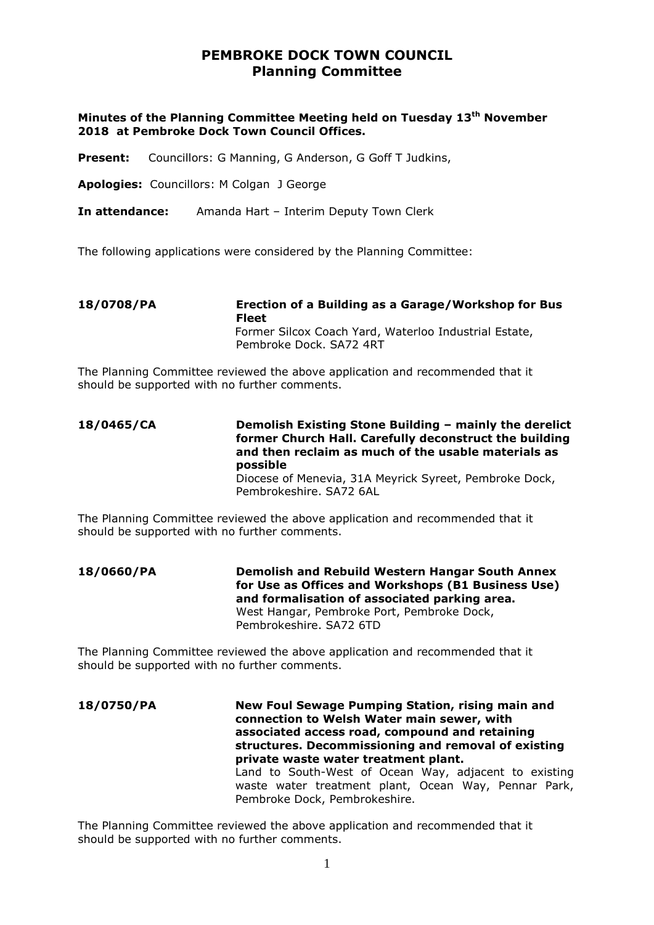# **PEMBROKE DOCK TOWN COUNCIL Planning Committee**

#### **Minutes of the Planning Committee Meeting held on Tuesday 13th November 2018 at Pembroke Dock Town Council Offices.**

Present: Councillors: G Manning, G Anderson, G Goff T Judkins,

**Apologies:** Councillors: M Colgan J George

**In attendance:** Amanda Hart – Interim Deputy Town Clerk

The following applications were considered by the Planning Committee:

**18/0708/PA Erection of a Building as a Garage/Workshop for Bus Fleet** Former Silcox Coach Yard, Waterloo Industrial Estate, Pembroke Dock. SA72 4RT

The Planning Committee reviewed the above application and recommended that it should be supported with no further comments.

**18/0465/CA Demolish Existing Stone Building – mainly the derelict former Church Hall. Carefully deconstruct the building and then reclaim as much of the usable materials as possible** Diocese of Menevia, 31A Meyrick Syreet, Pembroke Dock, Pembrokeshire. SA72 6AL

The Planning Committee reviewed the above application and recommended that it should be supported with no further comments.

**18/0660/PA Demolish and Rebuild Western Hangar South Annex for Use as Offices and Workshops (B1 Business Use) and formalisation of associated parking area.** West Hangar, Pembroke Port, Pembroke Dock, Pembrokeshire. SA72 6TD

The Planning Committee reviewed the above application and recommended that it should be supported with no further comments.

**18/0750/PA New Foul Sewage Pumping Station, rising main and connection to Welsh Water main sewer, with associated access road, compound and retaining structures. Decommissioning and removal of existing private waste water treatment plant.** Land to South-West of Ocean Way, adjacent to existing waste water treatment plant, Ocean Way, Pennar Park, Pembroke Dock, Pembrokeshire.

The Planning Committee reviewed the above application and recommended that it should be supported with no further comments.